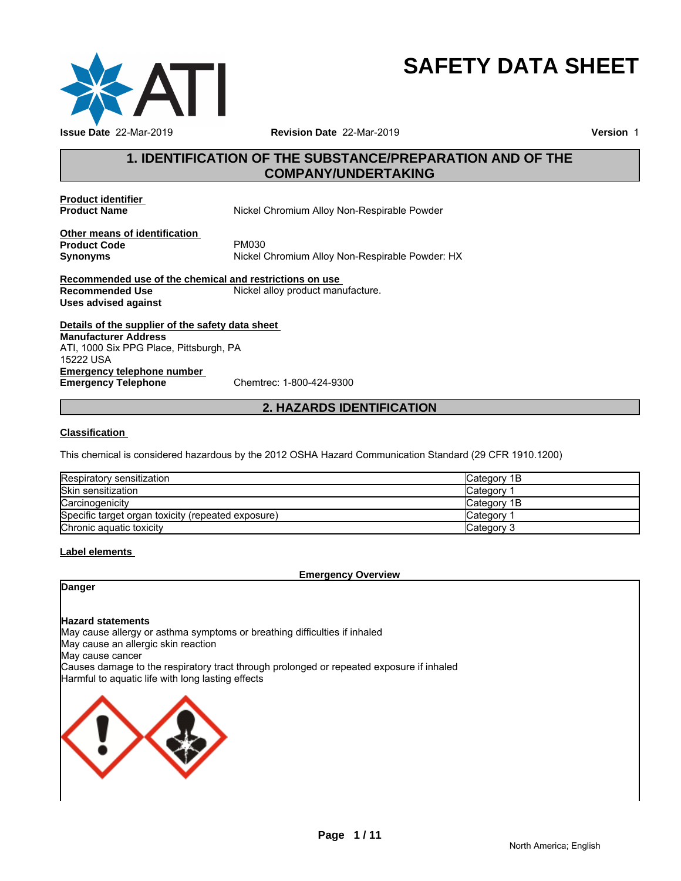

# **SAFETY DATA SHEET**

# **1. IDENTIFICATION OF THE SUBSTANCE/PREPARATION AND OF THE COMPANY/UNDERTAKING**

**Product identifier** 

**Nickel Chromium Alloy Non-Respirable Powder** 

**Other means of identification**<br>**Product Code** PM030 **Product Code**<br>Synonyms

**Synonyms** Nickel Chromium Alloy Non-Respirable Powder: HX

**Recommended use of the chemical and restrictions on use Recommended Use Server Alle Server All Accommended Use Server Alle Nickel alloy product manufacture. Uses advised against**

**Details of the supplier of the safety data sheet Emergency telephone number**<br> **Emergency Telephone**<br>
Chemtrec: 1-800-424-9300 **Emergency Telephone Manufacturer Address** ATI, 1000 Six PPG Place, Pittsburgh, PA 15222 USA

# **2. HAZARDS IDENTIFICATION**

#### **Classification**

This chemical is considered hazardous by the 2012 OSHA Hazard Communication Standard (29 CFR 1910.1200)

| Respiratory sensitization                          | Category 1B |
|----------------------------------------------------|-------------|
| <b>Skin sensitization</b>                          | Category    |
| Carcinogenicity                                    | Category 1B |
| Specific target organ toxicity (repeated exposure) | Category    |
| Chronic aguatic toxicity                           | Category 3  |

#### **Label elements**

**Emergency Overview**

**Danger**

#### **Hazard statements**

May cause allergy or asthma symptoms or breathing difficulties if inhaled

May cause an allergic skin reaction

May cause cancer

Causes damage to the respiratory tract through prolonged or repeated exposure if inhaled Harmful to aquatic life with long lasting effects

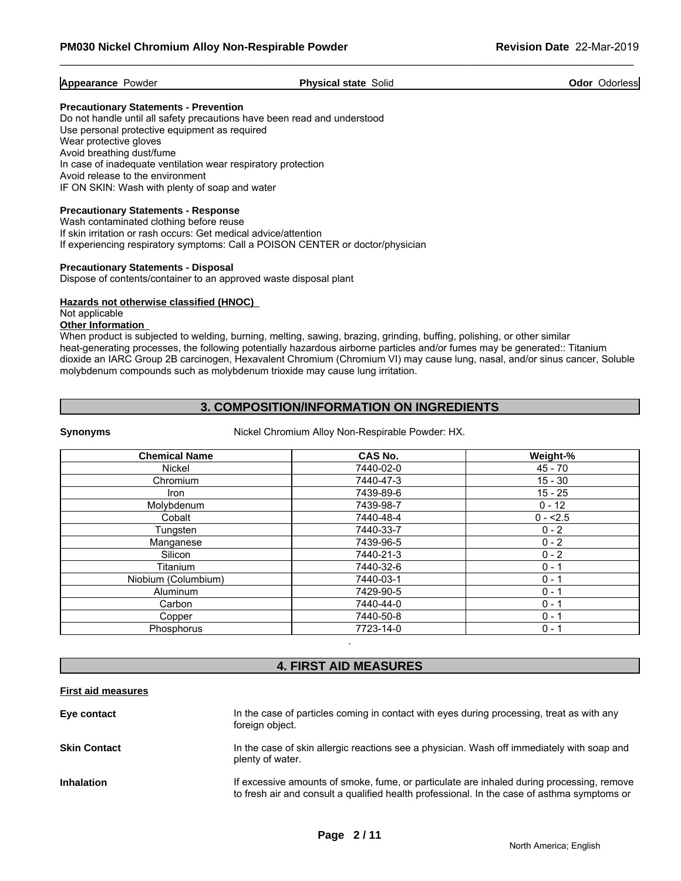**Appearance Powder Physical state Solid Connect Appearance Powder Connect Solid Connect Appearance Powder Connect Appearance Powder Solid Connect Appearance Powder Solid Connect Appearance Powder Solid Connect Appearanc** 

#### **Precautionary Statements - Prevention**

Do not handle until all safety precautions have been read and understood Use personal protective equipment as required Wear protective gloves Avoid breathing dust/fume In case of inadequate ventilation wear respiratory protection Avoid release to the environment IF ON SKIN: Wash with plenty of soap and water

#### **Precautionary Statements - Response**

Wash contaminated clothing before reuse If skin irritation or rash occurs: Get medical advice/attention If experiencing respiratory symptoms: Call a POISON CENTER or doctor/physician

#### **Precautionary Statements - Disposal**

Dispose of contents/container to an approved waste disposal plant

#### **Hazards not otherwise classified (HNOC)**

#### Not applicable

#### **Other Information**

When product is subjected to welding, burning, melting, sawing, brazing, grinding, buffing, polishing, or other similar heat-generating processes, the following potentially hazardous airborne particles and/or fumes may be generated:: Titanium dioxide an IARC Group 2B carcinogen, Hexavalent Chromium (Chromium VI) may cause lung, nasal, and/or sinus cancer, Soluble molybdenum compounds such as molybdenum trioxide may cause lung irritation.

# **3. COMPOSITION/INFORMATION ON INGREDIENTS**

**Synonyms** Nickel Chromium Alloy Non-Respirable Powder: HX.

| <b>Chemical Name</b> | <b>CAS No.</b> | Weight-%  |
|----------------------|----------------|-----------|
| Nickel               | 7440-02-0      | $45 - 70$ |
| Chromium             | 7440-47-3      | $15 - 30$ |
| Iron                 | 7439-89-6      | $15 - 25$ |
| Molybdenum           | 7439-98-7      | $0 - 12$  |
| Cobalt               | 7440-48-4      | $0 - 2.5$ |
| Tungsten             | 7440-33-7      | $0 - 2$   |
| Manganese            | 7439-96-5      | $0 - 2$   |
| Silicon              | 7440-21-3      | $0 - 2$   |
| Titanium             | 7440-32-6      | $0 - 1$   |
| Niobium (Columbium)  | 7440-03-1      | $0 - 1$   |
| Aluminum             | 7429-90-5      | $0 - 1$   |
| Carbon               | 7440-44-0      | $0 - 1$   |
| Copper               | 7440-50-8      | $0 - 1$   |
| Phosphorus           | 7723-14-0      | $0 - 1$   |

# **4. FIRST AID MEASURES**

.

#### **First aid measures**

| Eye contact         | In the case of particles coming in contact with eyes during processing, treat as with any<br>foreign object.                                                                             |
|---------------------|------------------------------------------------------------------------------------------------------------------------------------------------------------------------------------------|
| <b>Skin Contact</b> | In the case of skin allergic reactions see a physician. Wash off immediately with soap and<br>plenty of water.                                                                           |
| <b>Inhalation</b>   | If excessive amounts of smoke, fume, or particulate are inhaled during processing, remove<br>to fresh air and consult a qualified health professional. In the case of asthma symptoms or |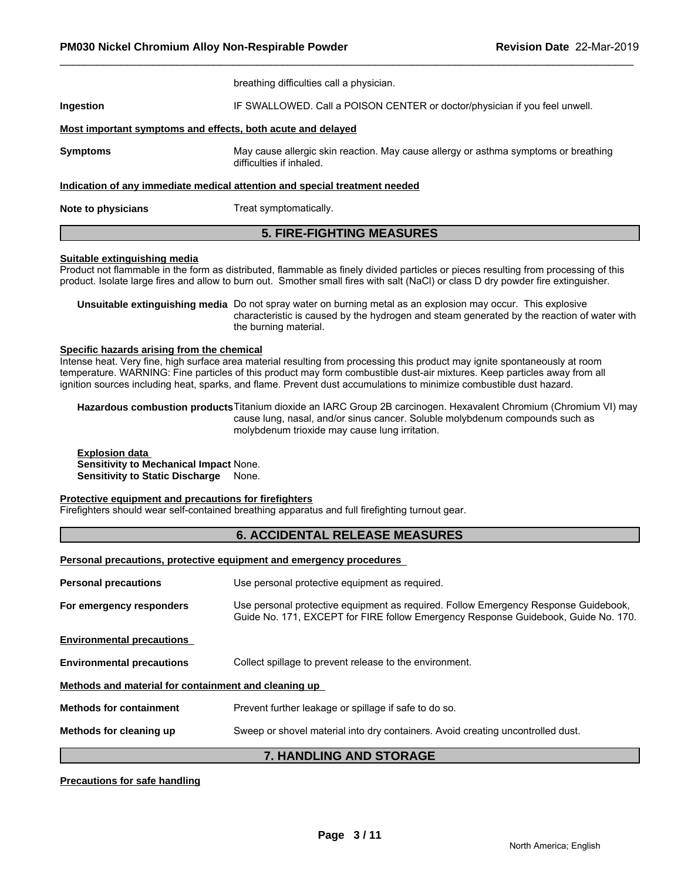|                    | <b>5. FIRE-FIGHTING MEASURES</b>                                                                                |
|--------------------|-----------------------------------------------------------------------------------------------------------------|
| Note to physicians | Treat symptomatically.                                                                                          |
|                    | Indication of any immediate medical attention and special treatment needed                                      |
| <b>Symptoms</b>    | May cause allergic skin reaction. May cause allergy or asthma symptoms or breathing<br>difficulties if inhaled. |
|                    | Most important symptoms and effects, both acute and delayed                                                     |
| Ingestion          | IF SWALLOWED. Call a POISON CENTER or doctor/physician if you feel unwell.                                      |
|                    | breathing difficulties call a physician.                                                                        |

#### **Suitable extinguishing media**

Product not flammable in the form as distributed, flammable as finely divided particles or pieces resulting from processing of this product. Isolate large fires and allow to burn out. Smother small fires with salt (NaCl) or class D dry powder fire extinguisher.

**Unsuitable extinguishing media** Do not spray water on burning metal as an explosion may occur. This explosive characteristic is caused by the hydrogen and steam generated by the reaction of water with the burning material.

#### **Specific hazards arising from the chemical**

Intense heat. Very fine, high surface area material resulting from processing this product may ignite spontaneously at room temperature. WARNING: Fine particles of this product may form combustible dust-air mixtures. Keep particles away from all ignition sources including heat, sparks, and flame. Prevent dust accumulations to minimize combustible dust hazard.

**Hazardous combustion products**Titanium dioxide an IARC Group 2B carcinogen. Hexavalent Chromium (Chromium VI) may cause lung, nasal, and/or sinus cancer. Soluble molybdenum compounds such as molybdenum trioxide may cause lung irritation.

**Explosion data Sensitivity to Mechanical Impact** None. **Sensitivity to Static Discharge** None.

#### **Protective equipment and precautions for firefighters**

Firefighters should wear self-contained breathing apparatus and full firefighting turnout gear.

# **6. ACCIDENTAL RELEASE MEASURES**

**Personal precautions, protective equipment and emergency procedures** 

| <b>Personal precautions</b>                          | Use personal protective equipment as required.                                                                                                                            |
|------------------------------------------------------|---------------------------------------------------------------------------------------------------------------------------------------------------------------------------|
| For emergency responders                             | Use personal protective equipment as required. Follow Emergency Response Guidebook,<br>Guide No. 171, EXCEPT for FIRE follow Emergency Response Guidebook, Guide No. 170. |
| <b>Environmental precautions</b>                     |                                                                                                                                                                           |
| <b>Environmental precautions</b>                     | Collect spillage to prevent release to the environment.                                                                                                                   |
| Methods and material for containment and cleaning up |                                                                                                                                                                           |
| <b>Methods for containment</b>                       | Prevent further leakage or spillage if safe to do so.                                                                                                                     |
| Methods for cleaning up                              | Sweep or shovel material into dry containers. Avoid creating uncontrolled dust.                                                                                           |

# **7. HANDLING AND STORAGE**

#### **Precautions for safe handling**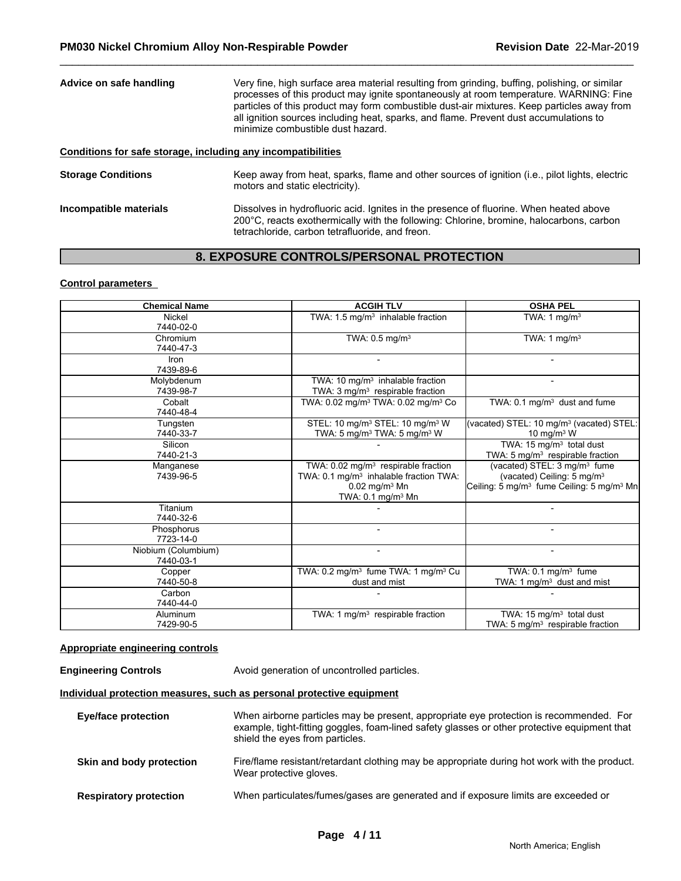| Advice on safe handling                                      | Very fine, high surface area material resulting from grinding, buffing, polishing, or similar<br>processes of this product may ignite spontaneously at room temperature. WARNING: Fine<br>particles of this product may form combustible dust-air mixtures. Keep particles away from<br>all ignition sources including heat, sparks, and flame. Prevent dust accumulations to<br>minimize combustible dust hazard. |
|--------------------------------------------------------------|--------------------------------------------------------------------------------------------------------------------------------------------------------------------------------------------------------------------------------------------------------------------------------------------------------------------------------------------------------------------------------------------------------------------|
| Conditions for safe storage, including any incompatibilities |                                                                                                                                                                                                                                                                                                                                                                                                                    |
| <b>Storage Conditions</b>                                    | Keep away from heat, sparks, flame and other sources of ignition (i.e., pilot lights, electric<br>motors and static electricity).                                                                                                                                                                                                                                                                                  |

#### **Incompatible materials Dissolves in hydrofluoric acid. Ignites in the presence of fluorine. When heated above** 200°C, reacts exothermically with the following: Chlorine, bromine, halocarbons, carbon tetrachloride, carbon tetrafluoride, and freon.

# **8. EXPOSURE CONTROLS/PERSONAL PROTECTION**

#### **Control parameters**

| <b>Chemical Name</b>             | <b>ACGIH TLV</b>                                                                                                                                                      | <b>OSHA PEL</b>                                                                                                                                         |
|----------------------------------|-----------------------------------------------------------------------------------------------------------------------------------------------------------------------|---------------------------------------------------------------------------------------------------------------------------------------------------------|
| Nickel<br>7440-02-0              | TWA: 1.5 mg/m <sup>3</sup> inhalable fraction                                                                                                                         | TWA: $1 \text{ mg/m}^3$                                                                                                                                 |
| Chromium<br>7440-47-3            | TWA: $0.5$ mg/m <sup>3</sup>                                                                                                                                          | TWA: 1 $mg/m3$                                                                                                                                          |
| Iron<br>7439-89-6                |                                                                                                                                                                       |                                                                                                                                                         |
| Molybdenum<br>7439-98-7          | TWA: 10 mg/m <sup>3</sup> inhalable fraction<br>TWA: $3 \text{mq/m}^3$ respirable fraction                                                                            | $\blacksquare$                                                                                                                                          |
| Cobalt<br>7440-48-4              | TWA: 0.02 mg/m <sup>3</sup> TWA: 0.02 mg/m <sup>3</sup> Co                                                                                                            | TWA: $0.1 \text{ mg/m}^3$ dust and fume                                                                                                                 |
| Tungsten<br>7440-33-7            | STEL: 10 mg/m <sup>3</sup> STEL: 10 mg/m <sup>3</sup> W<br>TWA: 5 mg/m <sup>3</sup> TWA: 5 mg/m <sup>3</sup> W                                                        | (vacated) STEL: 10 mg/m <sup>3</sup> (vacated) STEL:<br>10 mg/m <sup>3</sup> W                                                                          |
| Silicon<br>7440-21-3             |                                                                                                                                                                       | TWA: 15 mg/m <sup>3</sup> total dust<br>TWA: 5 mg/m <sup>3</sup> respirable fraction                                                                    |
| Manganese<br>7439-96-5           | TWA: 0.02 mg/m <sup>3</sup> respirable fraction<br>TWA: 0.1 mg/m <sup>3</sup> inhalable fraction TWA:<br>$0.02$ mg/m <sup>3</sup> Mn<br>TWA: 0.1 mg/m <sup>3</sup> Mn | (vacated) STEL: 3 mg/m <sup>3</sup> fume<br>(vacated) Ceiling: 5 mg/m <sup>3</sup><br>Ceiling: 5 mg/m <sup>3</sup> fume Ceiling: 5 mg/m <sup>3</sup> Mn |
| Titanium<br>7440-32-6            |                                                                                                                                                                       |                                                                                                                                                         |
| Phosphorus<br>7723-14-0          | $\overline{\phantom{a}}$                                                                                                                                              | $\qquad \qquad \blacksquare$                                                                                                                            |
| Niobium (Columbium)<br>7440-03-1 | $\blacksquare$                                                                                                                                                        | $\blacksquare$                                                                                                                                          |
| Copper<br>7440-50-8              | TWA: 0.2 mg/m <sup>3</sup> fume TWA: 1 mg/m <sup>3</sup> Cu<br>dust and mist                                                                                          | TWA: $0.1 \text{ mg/m}^3$ fume<br>TWA: 1 mg/m <sup>3</sup> dust and mist                                                                                |
| Carbon<br>7440-44-0              |                                                                                                                                                                       |                                                                                                                                                         |
| Aluminum<br>7429-90-5            | TWA: 1 $mg/m3$ respirable fraction                                                                                                                                    | TWA: 15 mg/m <sup>3</sup> total dust<br>TWA: 5 mg/m <sup>3</sup> respirable fraction                                                                    |

### **Appropriate engineering controls**

**Engineering Controls Avoid generation of uncontrolled particles.** 

# **Individual protection measures, such as personal protective equipment**

| <b>Eye/face protection</b>    | When airborne particles may be present, appropriate eye protection is recommended. For<br>example, tight-fitting goggles, foam-lined safety glasses or other protective equipment that<br>shield the eyes from particles. |
|-------------------------------|---------------------------------------------------------------------------------------------------------------------------------------------------------------------------------------------------------------------------|
| Skin and body protection      | Fire/flame resistant/retardant clothing may be appropriate during hot work with the product.<br>Wear protective gloves.                                                                                                   |
| <b>Respiratory protection</b> | When particulates/fumes/gases are generated and if exposure limits are exceeded or                                                                                                                                        |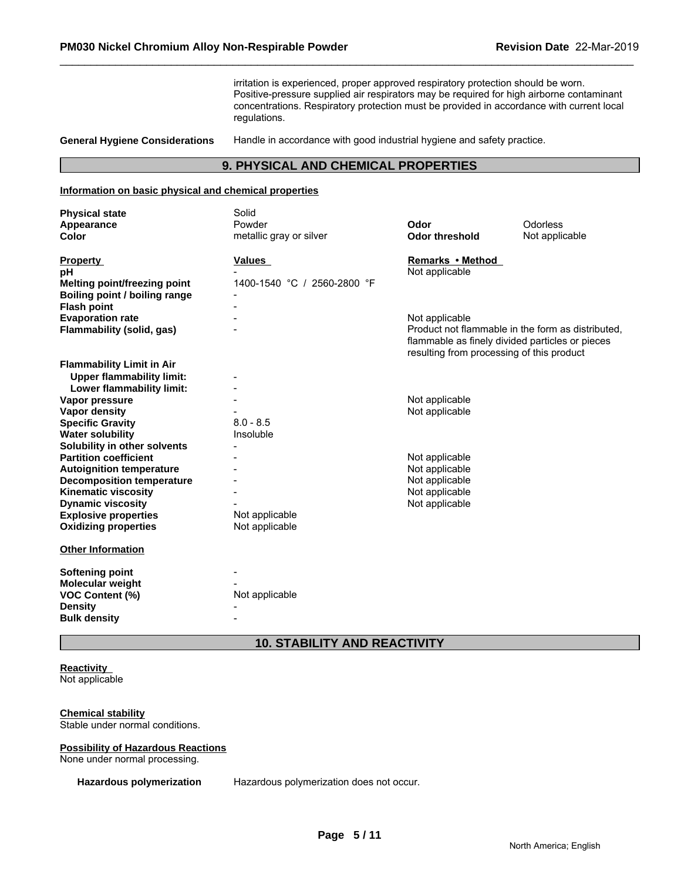irritation is experienced, proper approved respiratory protection should be worn. Positive-pressure supplied air respirators may be required for high airborne contaminant concentrations. Respiratory protection must be provided in accordance with current local regulations.

**General Hygiene Considerations** Handle in accordance with good industrial hygiene and safety practice.

# **9. PHYSICAL AND CHEMICAL PROPERTIES**

#### **Information on basic physical and chemical properties**

| <b>Physical state</b>            | Solid                       |                                           |                                                                                                      |
|----------------------------------|-----------------------------|-------------------------------------------|------------------------------------------------------------------------------------------------------|
| Appearance                       | Powder                      | Odor                                      | Odorless                                                                                             |
| <b>Color</b>                     | metallic gray or silver     | <b>Odor threshold</b>                     | Not applicable                                                                                       |
| <b>Property</b>                  | <b>Values</b>               | Remarks • Method                          |                                                                                                      |
| рH                               |                             | Not applicable                            |                                                                                                      |
| Melting point/freezing point     | 1400-1540 °C / 2560-2800 °F |                                           |                                                                                                      |
| Boiling point / boiling range    |                             |                                           |                                                                                                      |
| <b>Flash point</b>               |                             |                                           |                                                                                                      |
| <b>Evaporation rate</b>          |                             | Not applicable                            |                                                                                                      |
| Flammability (solid, gas)        |                             | resulting from processing of this product | Product not flammable in the form as distributed,<br>flammable as finely divided particles or pieces |
| <b>Flammability Limit in Air</b> |                             |                                           |                                                                                                      |
| <b>Upper flammability limit:</b> |                             |                                           |                                                                                                      |
| Lower flammability limit:        |                             |                                           |                                                                                                      |
| Vapor pressure                   |                             | Not applicable                            |                                                                                                      |
| Vapor density                    |                             | Not applicable                            |                                                                                                      |
| <b>Specific Gravity</b>          | $8.0 - 8.5$                 |                                           |                                                                                                      |
| <b>Water solubility</b>          | Insoluble                   |                                           |                                                                                                      |
| Solubility in other solvents     |                             |                                           |                                                                                                      |
| <b>Partition coefficient</b>     |                             | Not applicable                            |                                                                                                      |
| <b>Autoignition temperature</b>  |                             | Not applicable                            |                                                                                                      |
| <b>Decomposition temperature</b> |                             | Not applicable                            |                                                                                                      |
| <b>Kinematic viscosity</b>       |                             | Not applicable                            |                                                                                                      |
| <b>Dynamic viscosity</b>         |                             | Not applicable                            |                                                                                                      |
| <b>Explosive properties</b>      | Not applicable              |                                           |                                                                                                      |
| <b>Oxidizing properties</b>      | Not applicable              |                                           |                                                                                                      |
| <b>Other Information</b>         |                             |                                           |                                                                                                      |
| Softening point                  |                             |                                           |                                                                                                      |
| <b>Molecular weight</b>          |                             |                                           |                                                                                                      |
| <b>VOC Content (%)</b>           | Not applicable              |                                           |                                                                                                      |
| <b>Density</b>                   |                             |                                           |                                                                                                      |
| <b>Bulk density</b>              |                             |                                           |                                                                                                      |

# **10. STABILITY AND REACTIVITY**

# **Reactivity**

Not applicable

# **Chemical stability**

Stable under normal conditions.

#### **Possibility of Hazardous Reactions**

None under normal processing.

**Hazardous polymerization** Hazardous polymerization does not occur.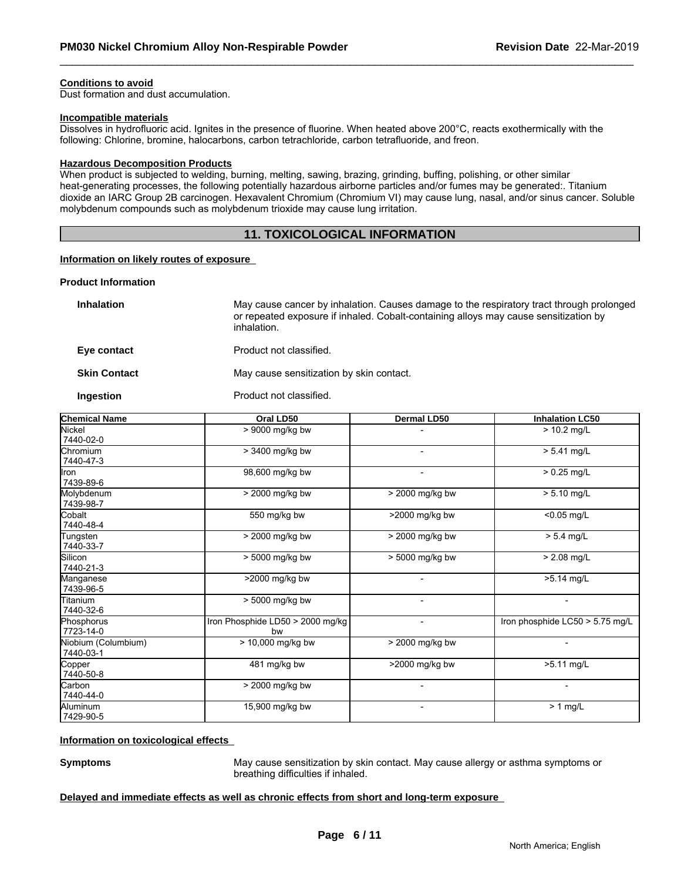### **Conditions to avoid**

Dust formation and dust accumulation.

#### **Incompatible materials**

Dissolves in hydrofluoric acid. Ignites in the presence of fluorine. When heated above 200°C, reacts exothermically with the following: Chlorine, bromine, halocarbons, carbon tetrachloride, carbon tetrafluoride, and freon.

#### **Hazardous Decomposition Products**

When product is subjected to welding, burning, melting, sawing, brazing, grinding, buffing, polishing, or other similar heat-generating processes, the following potentially hazardous airborne particles and/or fumes may be generated:. Titanium dioxide an IARC Group 2B carcinogen. Hexavalent Chromium (Chromium VI) may cause lung, nasal, and/or sinus cancer. Soluble molybdenum compounds such as molybdenum trioxide may cause lung irritation.

# **11. TOXICOLOGICAL INFORMATION**

#### **Information on likely routes of exposure**

#### **Product Information**

| <b>Inhalation</b>   | May cause cancer by inhalation. Causes damage to the respiratory tract through prolonged<br>or repeated exposure if inhaled. Cobalt-containing alloys may cause sensitization by<br>inhalation. |
|---------------------|-------------------------------------------------------------------------------------------------------------------------------------------------------------------------------------------------|
| Eye contact         | Product not classified.                                                                                                                                                                         |
| <b>Skin Contact</b> | May cause sensitization by skin contact.                                                                                                                                                        |
|                     |                                                                                                                                                                                                 |

**Ingestion** Product not classified.

| <b>Chemical Name</b>             | Oral LD50                              | Dermal LD50      | <b>Inhalation LC50</b>                      |
|----------------------------------|----------------------------------------|------------------|---------------------------------------------|
| Nickel<br>7440-02-0              | > 9000 mg/kg bw                        |                  | $> 10.2$ mg/L                               |
| <b>Chromium</b><br>7440-47-3     | > 3400 mg/kg bw                        |                  | $> 5.41$ mg/L                               |
| llron<br>7439-89-6               | 98,600 mg/kg bw                        | $\blacksquare$   | $> 0.25$ mg/L                               |
| Molybdenum<br>7439-98-7          | > 2000 mg/kg bw                        | > 2000 mg/kg bw  | $> 5.10$ mg/L                               |
| <b>C</b> obalt<br>7440-48-4      | 550 mg/kg bw                           | $>2000$ mg/kg bw | $< 0.05$ mg/L                               |
| Tungsten<br>7440-33-7            | > 2000 mg/kg bw                        | > 2000 mg/kg bw  | $> 5.4$ mg/L                                |
| Silicon<br>7440-21-3             | > 5000 mg/kg bw                        | > 5000 mg/kg bw  | $> 2.08$ mg/L                               |
| Manganese<br>7439-96-5           | >2000 mg/kg bw                         |                  | $\overline{\smash{\succ}5.14 \text{ mg/L}}$ |
| Titanium<br>7440-32-6            | > 5000 mg/kg bw                        |                  |                                             |
| Phosphorus<br>7723-14-0          | Iron Phosphide LD50 > 2000 mg/kg<br>bw | $\blacksquare$   | Iron phosphide LC50 > 5.75 mg/L             |
| Niobium (Columbium)<br>7440-03-1 | $> 10,000$ mg/kg bw                    | > 2000 mg/kg bw  |                                             |
| Copper<br>7440-50-8              | 481 mg/kg bw                           | >2000 mg/kg bw   | >5.11 mg/L                                  |
| Carbon<br>7440-44-0              | > 2000 mg/kg bw                        | ۰                | Ξ.                                          |
| Aluminum<br>7429-90-5            | 15,900 mg/kg bw                        |                  | $> 1$ mg/L                                  |

#### **Information on toxicological effects**

**Symptoms** May cause sensitization by skin contact. May cause allergy or asthma symptoms or breathing difficulties if inhaled.

#### **Delayed and immediate effects as well as chronic effects from short and long-term exposure**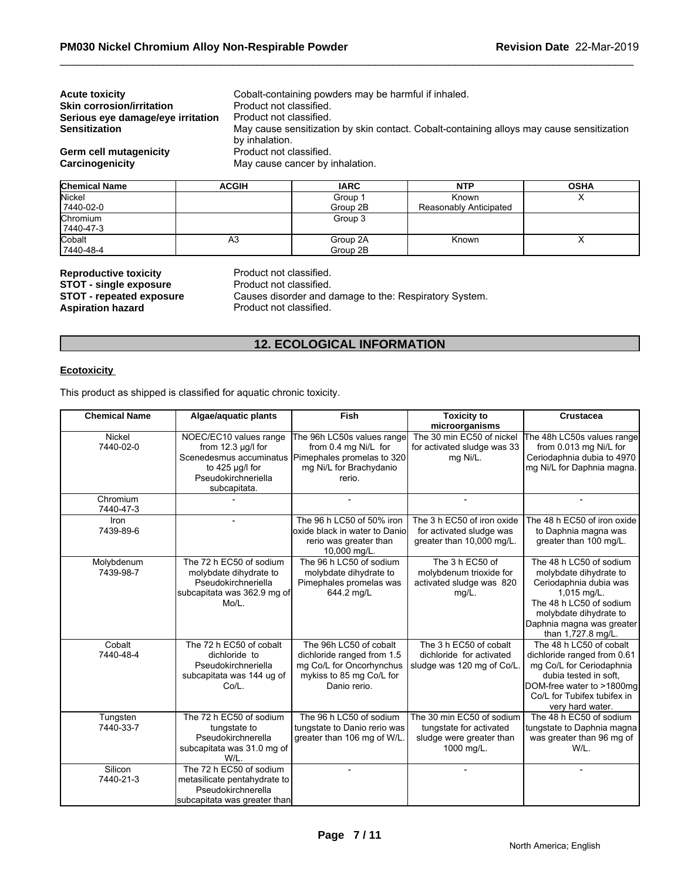| <b>Acute toxicity</b>             |                         | Cobalt-containing powders may be harmful if inhaled. |                                                                                           |  |
|-----------------------------------|-------------------------|------------------------------------------------------|-------------------------------------------------------------------------------------------|--|
| <b>Skin corrosion/irritation</b>  | Product not classified. |                                                      |                                                                                           |  |
| Serious eye damage/eye irritation | Product not classified. |                                                      |                                                                                           |  |
| <b>Sensitization</b>              |                         |                                                      | May cause sensitization by skin contact. Cobalt-containing alloys may cause sensitization |  |
|                                   | by inhalation.          |                                                      |                                                                                           |  |
| Germ cell mutagenicity            | Product not classified. |                                                      |                                                                                           |  |
| Carcinogenicity                   |                         | May cause cancer by inhalation.                      |                                                                                           |  |
|                                   |                         |                                                      |                                                                                           |  |
|                                   |                         |                                                      |                                                                                           |  |

| <b>Chemical Name</b> | <b>ACGIH</b> | <b>IARC</b> | <b>NTP</b>             | <b>OSHA</b> |
|----------------------|--------------|-------------|------------------------|-------------|
| Nickel               |              | Group 1     | Known                  |             |
| 7440-02-0            |              | Group 2B    | Reasonably Anticipated |             |
| Chromium             |              | Group 3     |                        |             |
| 7440-47-3            |              |             |                        |             |
| Cobalt               | A3           | Group 2A    | Known                  | $\lambda$   |
| 7440-48-4            |              | Group 2B    |                        |             |

**Reproductive toxicity example 3 and Product not classified. STOT - single exposure Example 20 Product not classified. STOT - repeated exposure** Causes disorder and damage to the: Respiratory System.<br>**Aspiration hazard** Product not classified. Product not classified.

# **12. ECOLOGICAL INFORMATION**

#### **Ecotoxicity**

This product as shipped is classified for aquatic chronic toxicity.

| <b>Chemical Name</b>    | Algae/aquatic plants                                                                                                                   | Fish                                                                                                                         | <b>Toxicity to</b><br>microorganisms                                                           | Crustacea                                                                                                                                                                                            |
|-------------------------|----------------------------------------------------------------------------------------------------------------------------------------|------------------------------------------------------------------------------------------------------------------------------|------------------------------------------------------------------------------------------------|------------------------------------------------------------------------------------------------------------------------------------------------------------------------------------------------------|
| Nickel<br>7440-02-0     | NOEC/EC10 values range<br>from 12.3 µg/l for<br>Scenedesmus accuminatus<br>to $425 \mu g/l$ for<br>Pseudokirchneriella<br>subcapitata. | The 96h LC50s values range<br>from 0.4 mg Ni/L for<br>Pimephales promelas to 320<br>mg Ni/L for Brachydanio<br>rerio.        | The 30 min EC50 of nickel<br>for activated sludge was 33<br>mg Ni/L.                           | The 48h LC50s values range<br>from 0.013 mg Ni/L for<br>Ceriodaphnia dubia to 4970<br>mg Ni/L for Daphnia magna.                                                                                     |
| Chromium<br>7440-47-3   |                                                                                                                                        |                                                                                                                              |                                                                                                |                                                                                                                                                                                                      |
| Iron<br>7439-89-6       |                                                                                                                                        | The 96 h LC50 of 50% iron<br>oxide black in water to Danio<br>rerio was greater than<br>10,000 mg/L.                         | The 3 h EC50 of iron oxide<br>for activated sludge was<br>greater than 10,000 mg/L.            | The 48 h EC50 of iron oxide<br>to Daphnia magna was<br>greater than 100 mg/L.                                                                                                                        |
| Molybdenum<br>7439-98-7 | The 72 h EC50 of sodium<br>molybdate dihydrate to<br>Pseudokirchneriella<br>subcapitata was 362.9 mg of<br>$Mo/L$ .                    | The 96 h LC50 of sodium<br>molybdate dihydrate to<br>Pimephales promelas was<br>644.2 mg/L                                   | The 3 h EC50 of<br>molybdenum trioxide for<br>activated sludge was 820<br>$mg/L$ .             | The 48 h LC50 of sodium<br>molybdate dihydrate to<br>Ceriodaphnia dubia was<br>$1,015$ mg/L.<br>The 48 h LC50 of sodium<br>molybdate dihydrate to<br>Daphnia magna was greater<br>than 1,727.8 mg/L. |
| Cobalt<br>7440-48-4     | The 72 h EC50 of cobalt<br>dichloride to<br>Pseudokirchneriella<br>subcapitata was 144 ug of<br>Co/L.                                  | The 96h LC50 of cobalt<br>dichloride ranged from 1.5<br>mg Co/L for Oncorhynchus<br>mykiss to 85 mg Co/L for<br>Danio rerio. | The 3 h EC50 of cobalt<br>dichloride for activated<br>sludge was 120 mg of Co/L                | The 48 h LC50 of cobalt<br>dichloride ranged from 0.61<br>mg Co/L for Ceriodaphnia<br>dubia tested in soft.<br>DOM-free water to >1800mg<br>Co/L for Tubifex tubifex in<br>very hard water.          |
| Tungsten<br>7440-33-7   | The 72 h EC50 of sodium<br>tungstate to<br>Pseudokirchnerella<br>subcapitata was 31.0 mg of<br>W/L.                                    | The 96 h LC50 of sodium<br>tungstate to Danio rerio was<br>greater than 106 mg of W/L.                                       | The 30 min EC50 of sodium<br>tungstate for activated<br>sludge were greater than<br>1000 mg/L. | The 48 h EC50 of sodium<br>tungstate to Daphnia magna<br>was greater than 96 mg of<br>W/L.                                                                                                           |
| Silicon<br>7440-21-3    | The 72 h EC50 of sodium<br>metasilicate pentahydrate to<br>Pseudokirchnerella<br>subcapitata was greater than                          |                                                                                                                              |                                                                                                |                                                                                                                                                                                                      |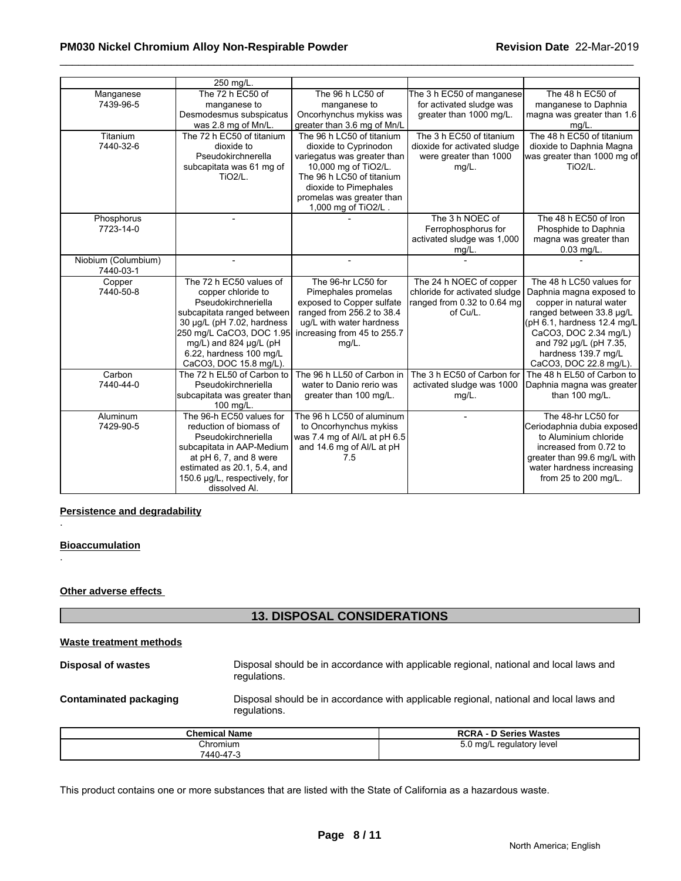# \_\_\_\_\_\_\_\_\_\_\_\_\_\_\_\_\_\_\_\_\_\_\_\_\_\_\_\_\_\_\_\_\_\_\_\_\_\_\_\_\_\_\_\_\_\_\_\_\_\_\_\_\_\_\_\_\_\_\_\_\_\_\_\_\_\_\_\_\_\_\_\_\_\_\_\_\_\_\_\_\_\_\_\_\_\_\_\_\_\_\_\_\_ **PM030 Nickel Chromium Alloy Non-Respirable Powder Revision Date** 22-Mar-2019

|                                  | 250 mg/L.                                                                                                                                                                                                                                        |                                                                                                                                                                                                                     |                                                                                                     |                                                                                                                                                                                                                                                |
|----------------------------------|--------------------------------------------------------------------------------------------------------------------------------------------------------------------------------------------------------------------------------------------------|---------------------------------------------------------------------------------------------------------------------------------------------------------------------------------------------------------------------|-----------------------------------------------------------------------------------------------------|------------------------------------------------------------------------------------------------------------------------------------------------------------------------------------------------------------------------------------------------|
| Manganese<br>7439-96-5           | The 72 h EC50 of<br>manganese to<br>Desmodesmus subspicatus<br>was 2.8 mg of Mn/L.                                                                                                                                                               | The 96 h LC50 of<br>manganese to<br>Oncorhynchus mykiss was<br>greater than 3.6 mg of Mn/L                                                                                                                          | The 3 h EC50 of manganese<br>for activated sludge was<br>greater than 1000 mg/L.                    | The 48 h EC50 of<br>manganese to Daphnia<br>magna was greater than 1.6<br>mg/L.                                                                                                                                                                |
| Titanium<br>7440-32-6            | The 72 h EC50 of titanium<br>dioxide to<br>Pseudokirchnerella<br>subcapitata was 61 mg of<br><b>TiO2/L.</b>                                                                                                                                      | The 96 h LC50 of titanium<br>dioxide to Cyprinodon<br>variegatus was greater than<br>10,000 mg of TiO2/L.<br>The 96 h LC50 of titanium<br>dioxide to Pimephales<br>promelas was greater than<br>1,000 mg of TiO2/L. | The 3 h EC50 of titanium<br>dioxide for activated sludge<br>were greater than 1000<br>$mg/L$ .      | The 48 h EC50 of titanium<br>dioxide to Daphnia Magna<br>was greater than 1000 mg of<br>TiO <sub>2</sub> /L.                                                                                                                                   |
| Phosphorus<br>7723-14-0          |                                                                                                                                                                                                                                                  |                                                                                                                                                                                                                     | The 3 h NOEC of<br>Ferrophosphorus for<br>activated sludge was 1,000<br>mg/L.                       | The 48 h EC50 of Iron<br>Phosphide to Daphnia<br>magna was greater than<br>$0.03$ mg/L.                                                                                                                                                        |
| Niobium (Columbium)<br>7440-03-1 |                                                                                                                                                                                                                                                  |                                                                                                                                                                                                                     |                                                                                                     |                                                                                                                                                                                                                                                |
| Copper<br>7440-50-8              | The 72 h EC50 values of<br>copper chloride to<br>Pseudokirchneriella<br>subcapitata ranged between<br>30 µg/L (pH 7.02, hardness<br>250 mg/L CaCO3, DOC 1.95<br>mg/L) and 824 $\mu$ g/L (pH<br>6.22, hardness 100 mg/L<br>CaCO3, DOC 15.8 mg/L). | The 96-hr LC50 for<br>Pimephales promelas<br>exposed to Copper sulfate<br>ranged from 256.2 to 38.4<br>ug/L with water hardness<br>increasing from 45 to 255.7<br>$mg/L$ .                                          | The 24 h NOEC of copper<br>chloride for activated sludge<br>ranged from 0.32 to 0.64 mg<br>of Cu/L. | The 48 h LC50 values for<br>Daphnia magna exposed to<br>copper in natural water<br>ranged between 33.8 µg/L<br>(pH 6.1, hardness 12.4 mg/L<br>CaCO3, DOC 2.34 mg/L)<br>and 792 µg/L (pH 7.35,<br>hardness 139.7 mg/L<br>CaCO3, DOC 22.8 mg/L). |
| Carbon<br>7440-44-0              | The 72 h EL50 of Carbon to<br>Pseudokirchneriella<br>subcapitata was greater than<br>100 mg/L.                                                                                                                                                   | The 96 h LL50 of Carbon in<br>water to Danio rerio was<br>greater than 100 mg/L.                                                                                                                                    | The 3 h EC50 of Carbon for<br>activated sludge was 1000<br>$mg/L$ .                                 | The 48 h EL50 of Carbon to<br>Daphnia magna was greater<br>than 100 mg/L.                                                                                                                                                                      |
| Aluminum<br>7429-90-5            | The 96-h EC50 values for<br>reduction of biomass of<br>Pseudokirchneriella<br>subcapitata in AAP-Medium<br>at pH 6, 7, and 8 were<br>estimated as 20.1, 5.4, and<br>150.6 µg/L, respectively, for<br>dissolved Al.                               | The 96 h LC50 of aluminum<br>to Oncorhynchus mykiss<br>was 7.4 mg of Al/L at pH 6.5<br>and 14.6 mg of Al/L at pH<br>7.5                                                                                             |                                                                                                     | The 48-hr LC50 for<br>Ceriodaphnia dubia exposed<br>to Aluminium chloride<br>increased from 0.72 to<br>greater than 99.6 mg/L with<br>water hardness increasing<br>from 25 to 200 mg/L.                                                        |

#### **Persistence and degradability**

# **Bioaccumulation**

.

.

#### **Other adverse effects**

|                               | <b>13. DISPOSAL CONSIDERATIONS</b> |                                                                                        |
|-------------------------------|------------------------------------|----------------------------------------------------------------------------------------|
| Waste treatment methods       |                                    |                                                                                        |
| <b>Disposal of wastes</b>     | regulations.                       | Disposal should be in accordance with applicable regional, national and local laws and |
| <b>Contaminated packaging</b> | regulations.                       | Disposal should be in accordance with applicable regional, national and local laws and |
|                               | <b>Chemical Name</b>               | <b>RCRA - D Series Wastes</b>                                                          |
|                               | Chromium<br>7440-47-3              | 5.0 mg/L regulatory level                                                              |

This product contains one or more substances that are listed with the State of California as a hazardous waste.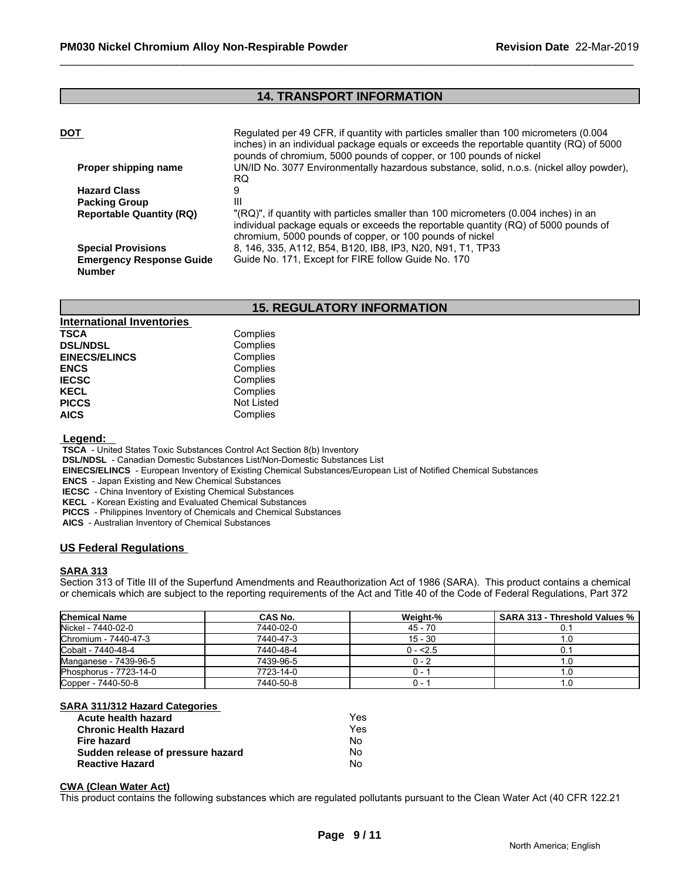# **14. TRANSPORT INFORMATION**

| DOT                                              | Regulated per 49 CFR, if quantity with particles smaller than 100 micrometers (0.004<br>inches) in an individual package equals or exceeds the reportable quantity (RQ) of 5000<br>pounds of chromium, 5000 pounds of copper, or 100 pounds of nickel |
|--------------------------------------------------|-------------------------------------------------------------------------------------------------------------------------------------------------------------------------------------------------------------------------------------------------------|
| Proper shipping name                             | UN/ID No. 3077 Environmentally hazardous substance, solid, n.o.s. (nickel alloy powder),<br>RQ.                                                                                                                                                       |
| <b>Hazard Class</b>                              |                                                                                                                                                                                                                                                       |
| <b>Packing Group</b>                             | Ш                                                                                                                                                                                                                                                     |
| <b>Reportable Quantity (RQ)</b>                  | "(RQ)", if quantity with particles smaller than 100 micrometers (0.004 inches) in an<br>individual package equals or exceeds the reportable quantity (RQ) of 5000 pounds of<br>chromium, 5000 pounds of copper, or 100 pounds of nickel               |
| <b>Special Provisions</b>                        | 8, 146, 335, A112, B54, B120, IB8, IP3, N20, N91, T1, TP33                                                                                                                                                                                            |
| <b>Emergency Response Guide</b><br><b>Number</b> | Guide No. 171, Except for FIRE follow Guide No. 170                                                                                                                                                                                                   |

# **15. REGULATORY INFORMATION**

| <b>International Inventories</b> |            |  |
|----------------------------------|------------|--|
| <b>TSCA</b>                      | Complies   |  |
| <b>DSL/NDSL</b>                  | Complies   |  |
| <b>EINECS/ELINCS</b>             | Complies   |  |
| <b>ENCS</b>                      | Complies   |  |
| <b>IECSC</b>                     | Complies   |  |
| <b>KECL</b>                      | Complies   |  |
| <b>PICCS</b>                     | Not Listed |  |
| <b>AICS</b>                      | Complies   |  |

 **Legend:** 

 **TSCA** - United States Toxic Substances Control Act Section 8(b) Inventory

 **DSL/NDSL** - Canadian Domestic Substances List/Non-Domestic Substances List

 **EINECS/ELINCS** - European Inventory of Existing Chemical Substances/European List of Notified Chemical Substances

 **ENCS** - Japan Existing and New Chemical Substances

 **IECSC** - China Inventory of Existing Chemical Substances

 **KECL** - Korean Existing and Evaluated Chemical Substances

 **PICCS** - Philippines Inventory of Chemicals and Chemical Substances

 **AICS** - Australian Inventory of Chemical Substances

# **US Federal Regulations**

#### **SARA 313**

Section 313 of Title III of the Superfund Amendments and Reauthorization Act of 1986 (SARA). This product contains a chemical or chemicals which are subject to the reporting requirements of the Act and Title 40 of the Code of Federal Regulations, Part 372

| <b>Chemical Name</b>   | CAS No.   | Weight-%  | SARA 313 - Threshold Values % |
|------------------------|-----------|-----------|-------------------------------|
| Nickel - 7440-02-0     | 7440-02-0 | $45 - 70$ |                               |
| Chromium - 7440-47-3   | 7440-47-3 | $15 - 30$ |                               |
| Cobalt - 7440-48-4     | 7440-48-4 | $0 - 2.5$ |                               |
| Manganese - 7439-96-5  | 7439-96-5 | $0 - 7$   |                               |
| Phosphorus - 7723-14-0 | 7723-14-0 | O –       |                               |
| Copper - 7440-50-8     | 7440-50-8 | U - 1     |                               |

#### **SARA 311/312 Hazard Categories**

| Acute health hazard               | Yes |
|-----------------------------------|-----|
| <b>Chronic Health Hazard</b>      | Yes |
| Fire hazard                       | No  |
| Sudden release of pressure hazard | N٥  |
| <b>Reactive Hazard</b>            | N٥  |

#### **CWA (Clean Water Act)**

This product contains the following substances which are regulated pollutants pursuant to the Clean Water Act (40 CFR 122.21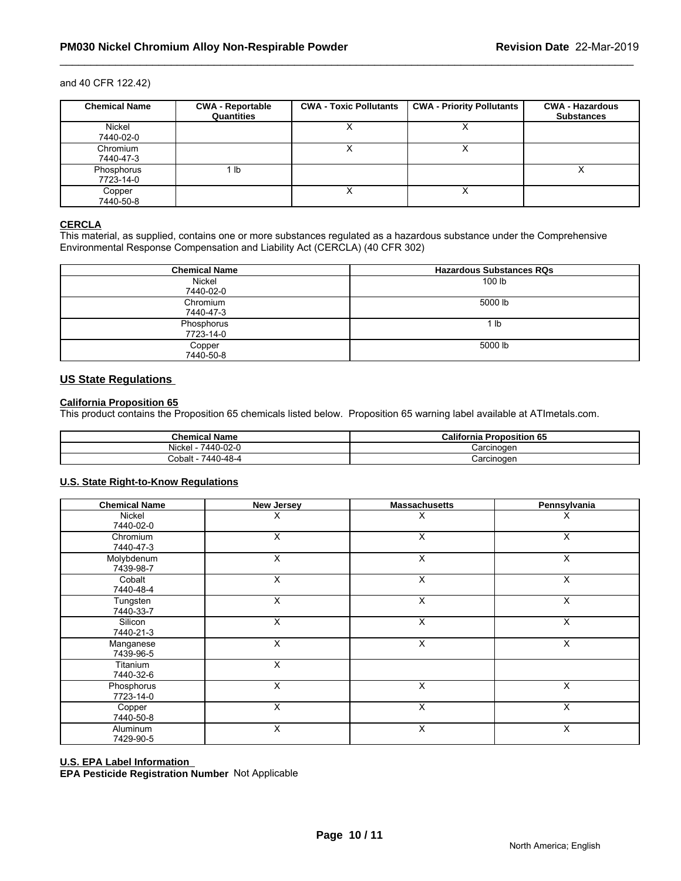#### and 40 CFR 122.42)

| <b>Chemical Name</b>    | <b>CWA - Reportable</b><br>Quantities | <b>CWA - Toxic Pollutants</b> | <b>CWA - Priority Pollutants</b> | <b>CWA - Hazardous</b><br><b>Substances</b> |
|-------------------------|---------------------------------------|-------------------------------|----------------------------------|---------------------------------------------|
| Nickel<br>7440-02-0     |                                       |                               | ↗                                |                                             |
| Chromium<br>7440-47-3   |                                       |                               | ↗                                |                                             |
| Phosphorus<br>7723-14-0 | 1 lb                                  |                               |                                  | $\lambda$                                   |
| Copper<br>7440-50-8     |                                       |                               |                                  |                                             |

# **CERCLA**

This material, as supplied, contains one or more substances regulated as a hazardous substance under the Comprehensive Environmental Response Compensation and Liability Act (CERCLA) (40 CFR 302)

| <b>Chemical Name</b>    | <b>Hazardous Substances RQs</b> |
|-------------------------|---------------------------------|
| Nickel<br>7440-02-0     | 100 lb                          |
| Chromium<br>7440-47-3   | 5000 lb                         |
| Phosphorus<br>7723-14-0 | lb                              |
| Copper<br>7440-50-8     | 5000 lb                         |

# **US State Regulations**

#### **California Proposition 65**

This product contains the Proposition 65 chemicals listed below. Proposition 65 warning label available at ATImetals.com.

| <b>Chemical Name</b>            | <b>California</b><br>Proposition 65 |
|---------------------------------|-------------------------------------|
| $\cdots$<br>7440-02-0<br>Nickel | Carcinoger                          |
| በ-4ጸ-4<br>Cobalt<br>7440        | ≿arcinoɑen                          |

#### **U.S. State Right-to-Know Regulations**

| <b>Chemical Name</b>    | <b>New Jersey</b> | <b>Massachusetts</b> | Pennsylvania |  |
|-------------------------|-------------------|----------------------|--------------|--|
| Nickel<br>7440-02-0     | X                 | х                    | х            |  |
| Chromium<br>7440-47-3   | X                 | Χ                    | X            |  |
| Molybdenum<br>7439-98-7 | X                 | X                    | X            |  |
| Cobalt<br>7440-48-4     | X                 | X                    | X            |  |
| Tungsten<br>7440-33-7   | X                 | X                    | Χ            |  |
| Silicon<br>7440-21-3    | X                 | Χ                    | X            |  |
| Manganese<br>7439-96-5  | X                 | X                    | X            |  |
| Titanium<br>7440-32-6   | X                 |                      |              |  |
| Phosphorus<br>7723-14-0 | X                 | X                    | X            |  |
| Copper<br>7440-50-8     | X                 | X                    | X            |  |
| Aluminum<br>7429-90-5   | Χ                 | Χ                    | X            |  |

#### **U.S. EPA Label Information**

**EPA Pesticide Registration Number** Not Applicable